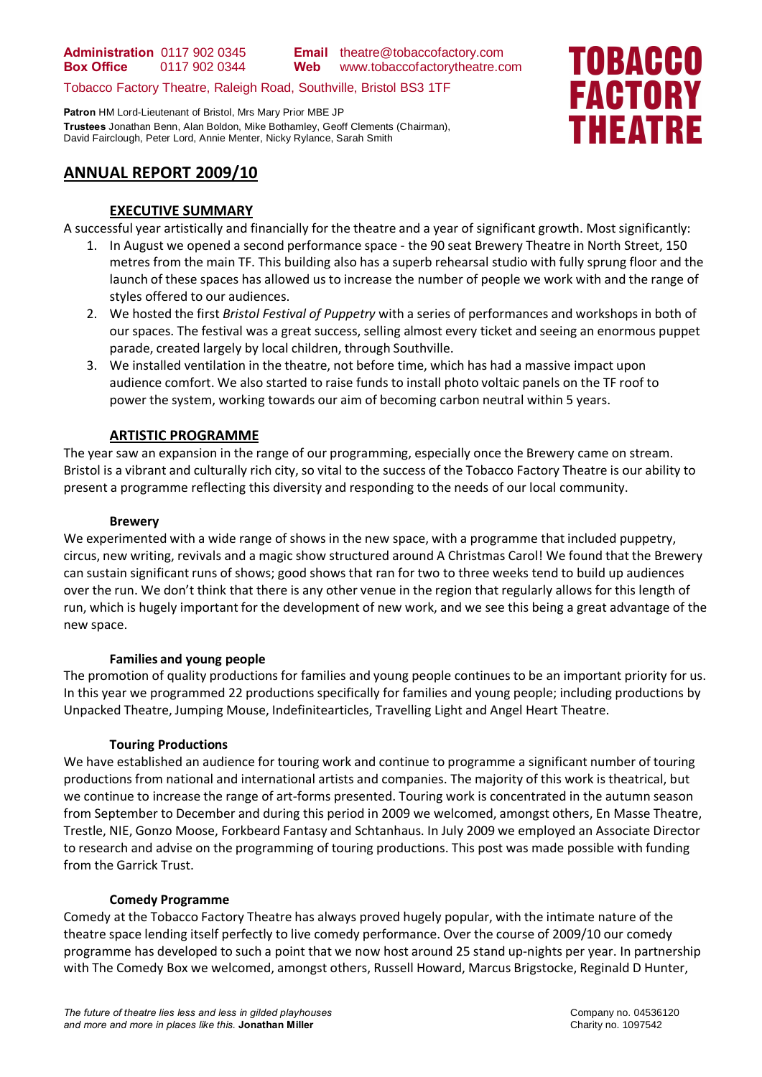Tobacco Factory Theatre, Raleigh Road, Southville, Bristol BS3 1TF

**Patron** HM Lord-Lieutenant of Bristol, Mrs Mary Prior MBE JP **Trustees** Jonathan Benn, Alan Boldon, Mike Bothamley, Geoff Clements (Chairman), David Fairclough, Peter Lord, Annie Menter, Nicky Rylance, Sarah Smith



# **ANNUAL REPORT 2009/10**

#### **EXECUTIVE SUMMARY**

A successful year artistically and financially for the theatre and a year of significant growth. Most significantly:

- 1. In August we opened a second performance space the 90 seat Brewery Theatre in North Street, 150 metres from the main TF. This building also has a superb rehearsal studio with fully sprung floor and the launch of these spaces has allowed us to increase the number of people we work with and the range of styles offered to our audiences.
- 2. We hosted the first *Bristol Festival of Puppetry* with a series of performances and workshops in both of our spaces. The festival was a great success, selling almost every ticket and seeing an enormous puppet parade, created largely by local children, through Southville.
- 3. We installed ventilation in the theatre, not before time, which has had a massive impact upon audience comfort. We also started to raise funds to install photo voltaic panels on the TF roof to power the system, working towards our aim of becoming carbon neutral within 5 years.

#### **ARTISTIC PROGRAMME**

The year saw an expansion in the range of our programming, especially once the Brewery came on stream. Bristol is a vibrant and culturally rich city, so vital to the success of the Tobacco Factory Theatre is our ability to present a programme reflecting this diversity and responding to the needs of our local community.

#### **Brewery**

We experimented with a wide range of shows in the new space, with a programme that included puppetry, circus, new writing, revivals and a magic show structured around A Christmas Carol! We found that the Brewery can sustain significant runs of shows; good shows that ran for two to three weeks tend to build up audiences over the run. We don't think that there is any other venue in the region that regularly allows for this length of run, which is hugely important for the development of new work, and we see this being a great advantage of the new space.

#### **Families and young people**

The promotion of quality productions for families and young people continues to be an important priority for us. In this year we programmed 22 productions specifically for families and young people; including productions by Unpacked Theatre, Jumping Mouse, Indefinitearticles, Travelling Light and Angel Heart Theatre.

#### **Touring Productions**

We have established an audience for touring work and continue to programme a significant number of touring productions from national and international artists and companies. The majority of this work is theatrical, but we continue to increase the range of art-forms presented. Touring work is concentrated in the autumn season from September to December and during this period in 2009 we welcomed, amongst others, En Masse Theatre, Trestle, NIE, Gonzo Moose, Forkbeard Fantasy and Schtanhaus. In July 2009 we employed an Associate Director to research and advise on the programming of touring productions. This post was made possible with funding from the Garrick Trust.

#### **Comedy Programme**

Comedy at the Tobacco Factory Theatre has always proved hugely popular, with the intimate nature of the theatre space lending itself perfectly to live comedy performance. Over the course of 2009/10 our comedy programme has developed to such a point that we now host around 25 stand up-nights per year. In partnership with The Comedy Box we welcomed, amongst others, Russell Howard, Marcus Brigstocke, Reginald D Hunter,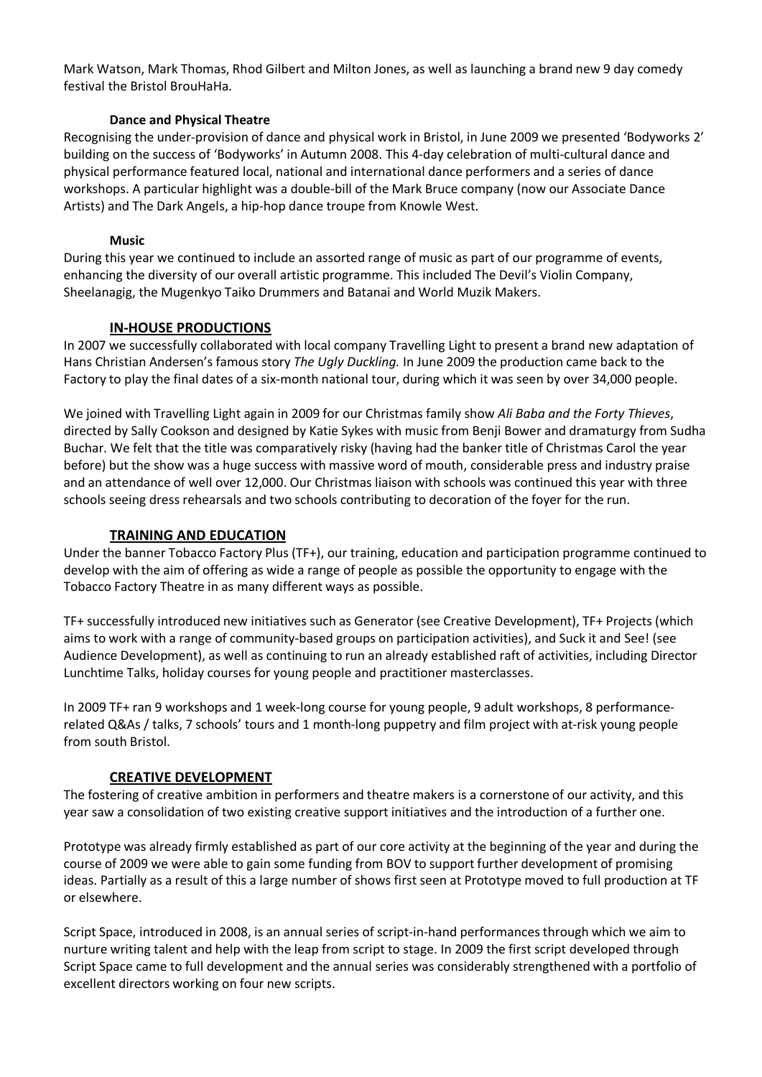Mark Watson, Mark Thomas, Rhod Gilbert and Milton Jones, as well as launching a brand new 9 day comedy festival the Bristol BrouHaHa.

### **Dance and Physical Theatre**

Recognising the under-provision of dance and physical work in Bristol, in June 2009 we presented 'Bodyworks 2' building on the success of 'Bodyworks' in Autumn 2008. This 4-day celebration of multi-cultural dance and physical performance featured local, national and international dance performers and a series of dance workshops. A particular highlight was a double-bill of the Mark Bruce company (now our Associate Dance Artists) and The Dark Angels, a hip-hop dance troupe from Knowle West.

#### **Music**

During this year we continued to include an assorted range of music as part of our programme of events, enhancing the diversity of our overall artistic programme. This included The Devil's Violin Company, Sheelanagig, the Mugenkyo Taiko Drummers and Batanai and World Muzik Makers.

## **IN-HOUSE PRODUCTIONS**

In 2007 we successfully collaborated with local company Travelling Light to present a brand new adaptation of Hans Christian Andersen's famous story *The Ugly Duckling.* In June 2009 the production came back to the Factory to play the final dates of a six-month national tour, during which it was seen by over 34,000 people.

We joined with Travelling Light again in 2009 for our Christmas family show *Ali Baba and the Forty Thieves*, directed by Sally Cookson and designed by Katie Sykes with music from Benji Bower and dramaturgy from Sudha Buchar. We felt that the title was comparatively risky (having had the banker title of Christmas Carol the year before) but the show was a huge success with massive word of mouth, considerable press and industry praise and an attendance of well over 12,000. Our Christmas liaison with schools was continued this year with three schools seeing dress rehearsals and two schools contributing to decoration of the foyer for the run.

#### **TRAINING AND EDUCATION**

Under the banner Tobacco Factory Plus (TF+), our training, education and participation programme continued to develop with the aim of offering as wide a range of people as possible the opportunity to engage with the Tobacco Factory Theatre in as many different ways as possible.

TF+ successfully introduced new initiatives such as Generator (see Creative Development), TF+ Projects (which aims to work with a range of community-based groups on participation activities), and Suck it and See! (see Audience Development), as well as continuing to run an already established raft of activities, including Director Lunchtime Talks, holiday courses for young people and practitioner masterclasses.

In 2009 TF+ ran 9 workshops and 1 week-long course for young people, 9 adult workshops, 8 performancerelated Q&As / talks, 7 schools' tours and 1 month-long puppetry and film project with at-risk young people from south Bristol.

## **CREATIVE DEVELOPMENT**

The fostering of creative ambition in performers and theatre makers is a cornerstone of our activity, and this year saw a consolidation of two existing creative support initiatives and the introduction of a further one.

Prototype was already firmly established as part of our core activity at the beginning of the year and during the course of 2009 we were able to gain some funding from BOV to support further development of promising ideas. Partially as a result of this a large number of shows first seen at Prototype moved to full production at TF or elsewhere.

Script Space, introduced in 2008, is an annual series of script-in-hand performances through which we aim to nurture writing talent and help with the leap from script to stage. In 2009 the first script developed through Script Space came to full development and the annual series was considerably strengthened with a portfolio of excellent directors working on four new scripts.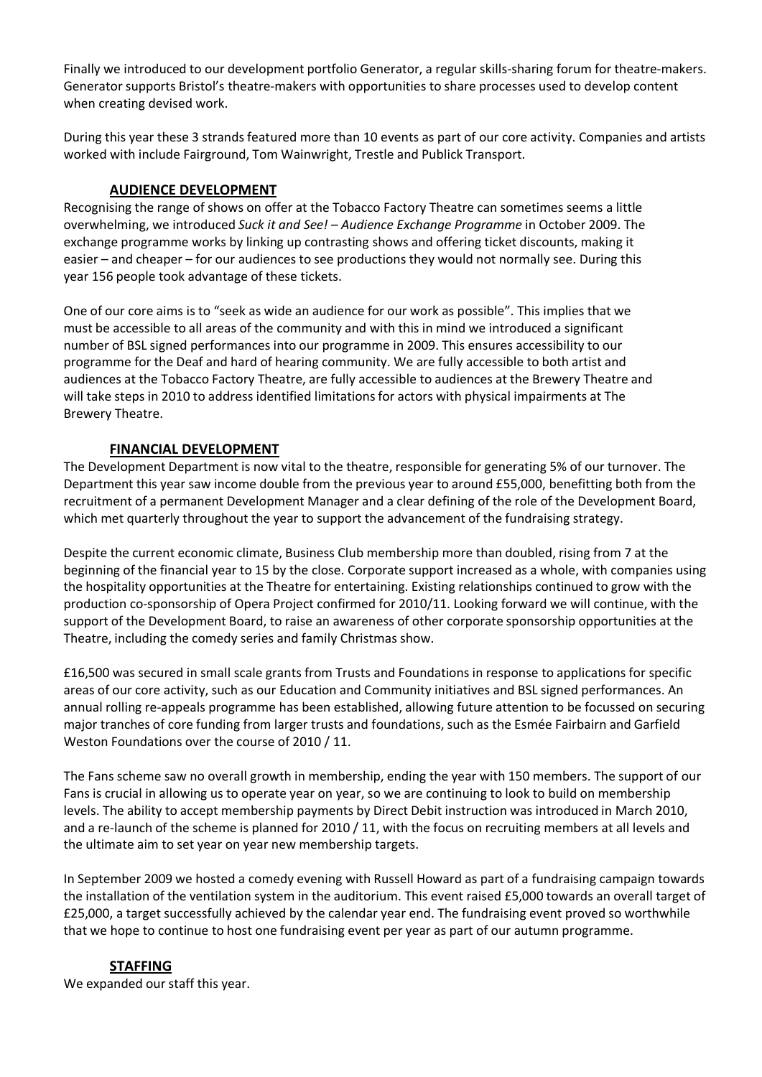Finally we introduced to our development portfolio Generator, a regular skills-sharing forum for theatre-makers. Generator supports Bristol's theatre-makers with opportunities to share processes used to develop content when creating devised work.

During this year these 3 strands featured more than 10 events as part of our core activity. Companies and artists worked with include Fairground, Tom Wainwright, Trestle and Publick Transport.

## **AUDIENCE DEVELOPMENT**

Recognising the range of shows on offer at the Tobacco Factory Theatre can sometimes seems a little overwhelming, we introduced *Suck it and See! – Audience Exchange Programme* in October 2009. The exchange programme works by linking up contrasting shows and offering ticket discounts, making it easier – and cheaper – for our audiences to see productions they would not normally see. During this year 156 people took advantage of these tickets.

One of our core aims is to "seek as wide an audience for our work as possible". This implies that we must be accessible to all areas of the community and with this in mind we introduced a significant number of BSL signed performances into our programme in 2009. This ensures accessibility to our programme for the Deaf and hard of hearing community. We are fully accessible to both artist and audiences at the Tobacco Factory Theatre, are fully accessible to audiences at the Brewery Theatre and will take steps in 2010 to address identified limitations for actors with physical impairments at The Brewery Theatre.

## **FINANCIAL DEVELOPMENT**

The Development Department is now vital to the theatre, responsible for generating 5% of our turnover. The Department this year saw income double from the previous year to around £55,000, benefitting both from the recruitment of a permanent Development Manager and a clear defining of the role of the Development Board, which met quarterly throughout the year to support the advancement of the fundraising strategy.

Despite the current economic climate, Business Club membership more than doubled, rising from 7 at the beginning of the financial year to 15 by the close. Corporate support increased as a whole, with companies using the hospitality opportunities at the Theatre for entertaining. Existing relationships continued to grow with the production co-sponsorship of Opera Project confirmed for 2010/11. Looking forward we will continue, with the support of the Development Board, to raise an awareness of other corporate sponsorship opportunities at the Theatre, including the comedy series and family Christmas show.

£16,500 was secured in small scale grants from Trusts and Foundations in response to applications for specific areas of our core activity, such as our Education and Community initiatives and BSL signed performances. An annual rolling re-appeals programme has been established, allowing future attention to be focussed on securing major tranches of core funding from larger trusts and foundations, such as the Esmée Fairbairn and Garfield Weston Foundations over the course of 2010 / 11.

The Fans scheme saw no overall growth in membership, ending the year with 150 members. The support of our Fans is crucial in allowing us to operate year on year, so we are continuing to look to build on membership levels. The ability to accept membership payments by Direct Debit instruction was introduced in March 2010, and a re-launch of the scheme is planned for 2010 / 11, with the focus on recruiting members at all levels and the ultimate aim to set year on year new membership targets.

In September 2009 we hosted a comedy evening with Russell Howard as part of a fundraising campaign towards the installation of the ventilation system in the auditorium. This event raised £5,000 towards an overall target of £25,000, a target successfully achieved by the calendar year end. The fundraising event proved so worthwhile that we hope to continue to host one fundraising event per year as part of our autumn programme.

## **STAFFING**

We expanded our staff this year.